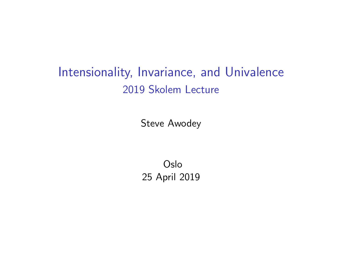# Intensionality, Invariance, and Univalence 2019 Skolem Lecture

Steve Awodey

Oslo 25 April 2019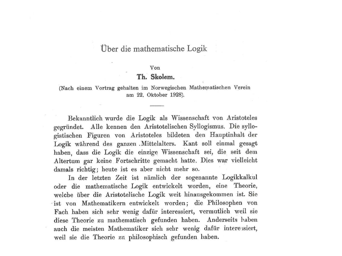#### Über die mathematische Logik

Von

#### Th. Skolem.

(Nach einem Vortrag gehalten im Norwegischen Mathematischen Verein am 22. Oktober 1928).

Bekanntlich wurde die Logik als Wissenschaft von Aristoteles gegründet. Alle kennen den Aristotelischen Syllogismus. Die syllogistischen Figuren von Aristoteles bildeten den Hauptinhalt der Logik während des ganzen Mittelalters. Kant soll einmal gesagt haben, dass die Logik die einzige Wissenschaft sei, die seit dem Altertum gar keine Fortschritte gemacht hatte. Dies war vielleicht damals richtig; heute ist es aber nicht mehr so.

In der letzten Zeit ist nämlich der sogenannte Logikkalkul oder die mathematische Logik entwickelt worden, eine Theorie, welche über die Aristotelische Logik weit hinausgekommen ist. Sie ist von Mathematikern entwickelt worden; die Philosophen von Fach haben sich sehr wenig dafür interessiert, vermutlich weil sie diese Theorie zu mathematisch gefunden haben. Anderseits haben auch die meisten Mathematiker sich sehr wenig dafür interessiert, weil sie die Theorie zu philosophisch gefunden haben.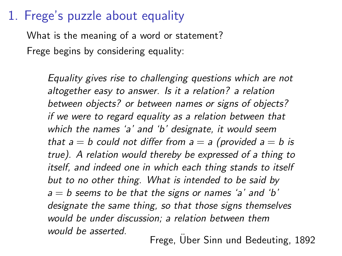#### 1. Frege's puzzle about equality

What is the meaning of a word or statement? Frege begins by considering equality:

> Equality gives rise to challenging questions which are not altogether easy to answer. Is it a relation? a relation between objects? or between names or signs of objects? if we were to regard equality as a relation between that which the names 'a' and 'b' designate, it would seem that  $a = b$  could not differ from  $a = a$  (provided  $a = b$  is true). A relation would thereby be expressed of a thing to itself, and indeed one in which each thing stands to itself but to no other thing. What is intended to be said by  $a = b$  seems to be that the signs or names 'a' and 'b' designate the same thing, so that those signs themselves would be under discussion; a relation between them would be asserted.

Frege, Über Sinn und Bedeuting, 1892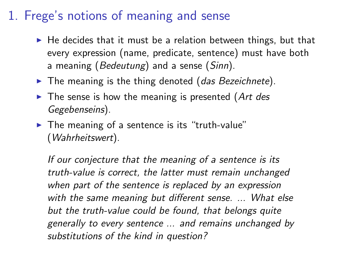## 1. Frege's notions of meaning and sense

- $\blacktriangleright$  He decides that it must be a relation between things, but that every expression (name, predicate, sentence) must have both a meaning (*Bedeutung*) and a sense (*Sinn*).
- $\blacktriangleright$  The meaning is the thing denoted (das Bezeichnete).
- $\blacktriangleright$  The sense is how the meaning is presented (Art des Gegebenseins).
- $\blacktriangleright$  The meaning of a sentence is its "truth-value" (Wahrheitswert).

If our conjecture that the meaning of a sentence is its truth-value is correct, the latter must remain unchanged when part of the sentence is replaced by an expression with the same meaning but different sense. ... What else but the truth-value could be found, that belongs quite generally to every sentence ... and remains unchanged by substitutions of the kind in question?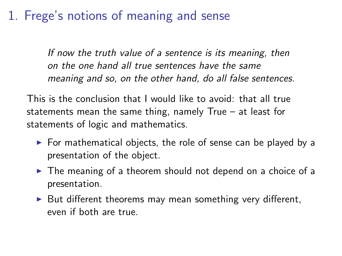1. Frege's notions of meaning and sense

If now the truth value of a sentence is its meaning, then on the one hand all true sentences have the same meaning and so, on the other hand, do all false sentences.

This is the conclusion that I would like to avoid: that all true statements mean the same thing, namely True – at least for statements of logic and mathematics.

- $\triangleright$  For mathematical objects, the role of sense can be played by a presentation of the object.
- $\triangleright$  The meaning of a theorem should not depend on a choice of a presentation.
- $\triangleright$  But different theorems may mean something very different, even if both are true.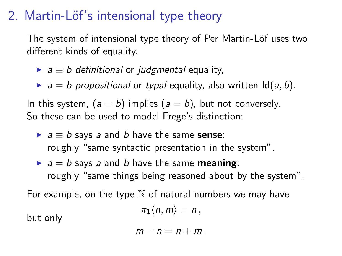## 2. Martin-Löf's intensional type theory

The system of intensional type theory of Per Martin-Löf uses two different kinds of equality.

- $\triangleright$  a  $\equiv$  b definitional or judgmental equality,
- $\blacktriangleright$  a = b propositional or typal equality, also written Id(a, b).

In this system,  $(a \equiv b)$  implies  $(a = b)$ , but not conversely. So these can be used to model Frege's distinction:

- $\triangleright$  a  $\equiv$  b says a and b have the same sense: roughly "same syntactic presentation in the system".
- $\blacktriangleright$  a = b says a and b have the same meaning: roughly "same things being reasoned about by the system".

For example, on the type  $\mathbb N$  of natural numbers we may have

$$
\pi_1\langle n,m\rangle\equiv n\,,
$$

but only

$$
m+n=n+m.
$$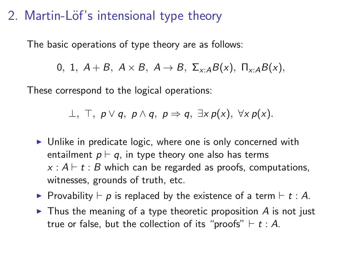#### 2. Martin-Löf's intensional type theory

The basic operations of type theory are as follows:

0, 1,  $A + B$ ,  $A \times B$ ,  $A \rightarrow B$ ,  $\Sigma_{x:A} B(x)$ ,  $\Pi_{x:A} B(x)$ ,

These correspond to the logical operations:

$$
\bot, \top, p \vee q, p \wedge q, p \Rightarrow q, \exists x p(x), \forall x p(x).
$$

- $\triangleright$  Unlike in predicate logic, where one is only concerned with entailment  $p \vdash q$ , in type theory one also has terms  $x : A \vdash t : B$  which can be regarded as proofs, computations, witnesses, grounds of truth, etc.
- Provability  $\vdash p$  is replaced by the existence of a term  $\vdash t : A$ .
- $\triangleright$  Thus the meaning of a type theoretic proposition A is not just true or false, but the collection of its "proofs"  $\vdash t : A$ .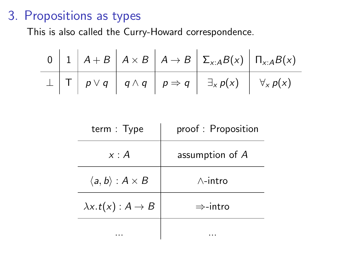#### 3. Propositions as types

This is also called the Curry-Howard correspondence.

$$
\begin{array}{c|c|c|c|c|c|c|c|c} \hline 0 & 1 & A+B & A\times B & A\to B & \Sigma_{x:A}B(x) & \Pi_{x:A}B(x) \\ \hline \hline \bot & T & p\vee q & q\wedge q & p\Rightarrow q & \exists_{x} p(x) & \forall_{x} p(x) \end{array}
$$

| term: Type                          | proof: Proposition |
|-------------------------------------|--------------------|
| x : A                               | assumption of A    |
| $\langle a, b \rangle : A \times B$ | $\wedge$ -intro    |
| $\lambda x.t(x): A \rightarrow B$   | ⇒-intro            |
|                                     |                    |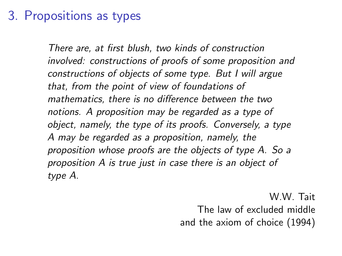#### 3. Propositions as types

There are, at first blush, two kinds of construction involved: constructions of proofs of some proposition and constructions of objects of some type. But I will argue that, from the point of view of foundations of mathematics, there is no difference between the two notions. A proposition may be regarded as a type of object, namely, the type of its proofs. Conversely, a type A may be regarded as a proposition, namely, the proposition whose proofs are the objects of type A. So a proposition A is true just in case there is an object of type A.

> W.W. Tait The law of excluded middle and the axiom of choice (1994)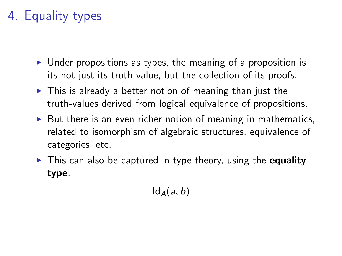# 4. Equality types

- $\triangleright$  Under propositions as types, the meaning of a proposition is its not just its truth-value, but the collection of its proofs.
- $\triangleright$  This is already a better notion of meaning than just the truth-values derived from logical equivalence of propositions.
- $\triangleright$  But there is an even richer notion of meaning in mathematics, related to isomorphism of algebraic structures, equivalence of categories, etc.
- $\triangleright$  This can also be captured in type theory, using the equality type.

 $Id_A(a, b)$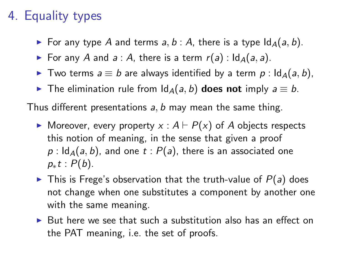## 4. Equality types

- For any type A and terms a, b : A, there is a type  $\text{Id}_{A}(a, b)$ .
- For any A and  $a : A$ , there is a term  $r(a) : Id_A(a, a)$ .
- ► Two terms  $a \equiv b$  are always identified by a term  $p : \text{Id}_A(a, b)$ ,
- **►** The elimination rule from  $\text{Id}_A(a, b)$  **does not** imply  $a \equiv b$ .

Thus different presentations  $a, b$  may mean the same thing.

- Moreover, every property  $x : A \vdash P(x)$  of A objects respects this notion of meaning, in the sense that given a proof  $p : Id_A(a, b)$ , and one  $t : P(a)$ , there is an associated one  $p_*t$  :  $P(b)$ .
- $\triangleright$  This is Frege's observation that the truth-value of  $P(a)$  does not change when one substitutes a component by another one with the same meaning.
- $\triangleright$  But here we see that such a substitution also has an effect on the PAT meaning, i.e. the set of proofs.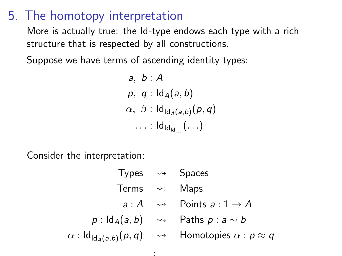#### 5. The homotopy interpretation

More is actually true: the Id-type endows each type with a rich structure that is respected by all constructions.

Suppose we have terms of ascending identity types:

a, b: A  
\np, q: 
$$
ld_A(a, b)
$$
  
\n $\alpha$ ,  $\beta$ :  $ld_{ld_A(a,b)}(p, q)$   
\n...:  $ld_{ld_{ld...}}(\ldots)$ 

Consider the interpretation:

| Typees                                           | → | Spaces                            |
|--------------------------------------------------|---|-----------------------------------|
| Terms                                            | → | Maps                              |
| $a : A$                                          | → | Points $a : 1 \rightarrow A$      |
| $p : \text{Id}_{A}(a, b)$                        | → | Paths $p : a \sim b$              |
| $\alpha : \text{Id}_{\text{Id}_{A}(a, b)}(p, q)$ | → | Homotopies $\alpha : p \approx q$ |

.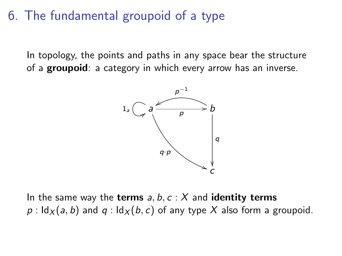### 6. The fundamental groupoid of a type

In topology, the points and paths in any space bear the structure of a **groupoid**: a category in which every arrow has an inverse.



In the same way the terms  $a, b, c : X$  and identity terms  $p : \text{Id}_X(a, b)$  and  $q : \text{Id}_X(b, c)$  of any type X also form a groupoid.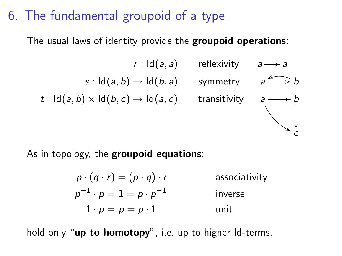#### 6. The fundamental groupoid of a type

The usual laws of identity provide the **groupoid operations**:

$$
r: Id(a, a) \qquad \text{reflexivity} \qquad a \longrightarrow a
$$
\n
$$
s: Id(a, b) \rightarrow Id(b, a) \qquad \text{symmetry} \qquad a \longrightarrow b
$$
\n
$$
t: Id(a, b) \times Id(b, c) \rightarrow Id(a, c) \qquad \text{transitivity} \qquad a \longrightarrow b
$$

/b

b

 $\blacktriangle$ 

ŗ c

As in topology, the groupoid equations:

$$
p \cdot (q \cdot r) = (p \cdot q) \cdot r
$$
 associativity  
\n
$$
p^{-1} \cdot p = 1 = p \cdot p^{-1}
$$
 inverse  
\n
$$
1 \cdot p = p = p \cdot 1
$$
 unit

hold only "up to homotopy", i.e. up to higher Id-terms.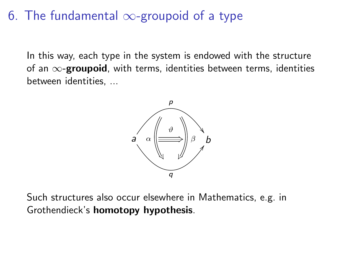## 6. The fundamental  $\infty$ -groupoid of a type

In this way, each type in the system is endowed with the structure of an  $\infty$ -groupoid, with terms, identities between terms, identities between identities, ...



Such structures also occur elsewhere in Mathematics, e.g. in Grothendieck's homotopy hypothesis.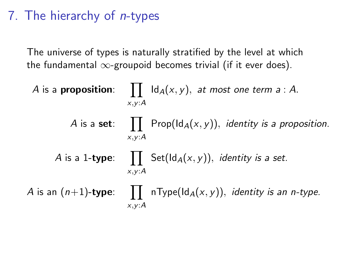## 7. The hierarchy of  $n$ -types

The universe of types is naturally stratified by the level at which the fundamental  $\infty$ -groupoid becomes trivial (if it ever does).

| A is a <b>proposition</b> : $\iint dA(x, y)$ , at most one term a : A.<br>x,y:A                               |
|---------------------------------------------------------------------------------------------------------------|
| A is a set: $\ \cdot\ $ Prop( $\text{Id}_A(x, y)$ ), <i>identity is a proposition</i> .<br>x,y:A              |
| A is a 1-type: $\ \cdot\ $ Set(Id <sub>A</sub> $(x, y)$ ), <i>identity is a set.</i><br>x,y:A                 |
| A is an $(n+1)$ -type: $   \cdot   $ nType( $\text{Id}_{A}(x, y)$ ), <i>identity is an n-type.</i><br>x, y: A |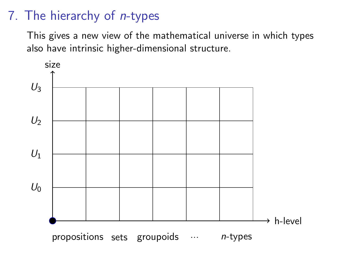## 7. The hierarchy of *n*-types

This gives a new view of the mathematical universe in which types also have intrinsic higher-dimensional structure.

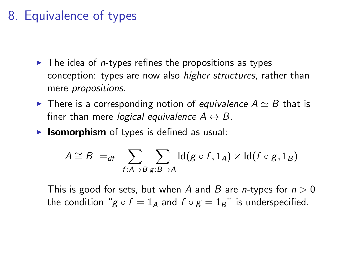## 8. Equivalence of types

- $\blacktriangleright$  The idea of *n*-types refines the propositions as types conception: types are now also higher structures, rather than mere propositions.
- Intermeterm There is a corresponding notion of equivalence  $A \simeq B$  that is finer than mere *logical equivalence*  $A \leftrightarrow B$ .
- $\triangleright$  Isomorphism of types is defined as usual:

$$
A \cong B =_{df} \sum_{f:A \to B} \sum_{g:B \to A} \text{Id}(g \circ f, 1_A) \times \text{Id}(f \circ g, 1_B)
$$

This is good for sets, but when A and B are *n*-types for  $n > 0$ the condition " $g \circ f = 1_A$  and  $f \circ g = 1_B$ " is underspecified.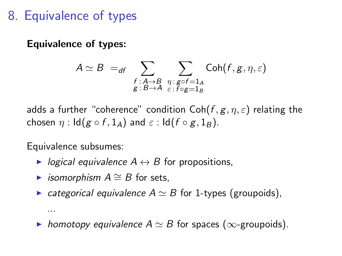## 8. Equivalence of types

Equivalence of types:

$$
A \simeq B =_{df} \sum_{\substack{f : A \to B \\ g : B \to A}} \sum_{\substack{\eta : g \circ f = 1_A \\ \varepsilon : f \circ g = 1_B}} \text{Coh}(f, g, \eta, \varepsilon)
$$

adds a further "coherence" condition  $Coh(f, g, \eta, \varepsilon)$  relating the chosen  $\eta$  :  $\text{Id}(g \circ f, 1_A)$  and  $\varepsilon$  :  $\text{Id}(f \circ g, 1_B)$ .

Equivalence subsumes:

...

- $\triangleright$  logical equivalence A  $\leftrightarrow$  B for propositions,
- $\triangleright$  isomorphism  $A \cong B$  for sets,
- $\triangleright$  categorical equivalence  $A \simeq B$  for 1-types (groupoids),

 $\triangleright$  homotopy equivalence  $A \simeq B$  for spaces ( $\infty$ -groupoids).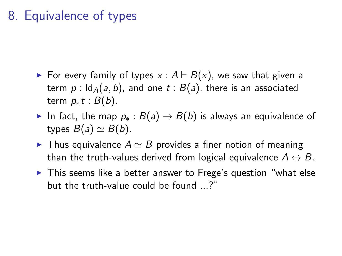## 8. Equivalence of types

- For every family of types  $x : A \vdash B(x)$ , we saw that given a term  $p : \text{Id}_{A}(a, b)$ , and one  $t : B(a)$ , there is an associated term  $p_*t : B(b)$ .
- In fact, the map  $p_{*} : B(a) \to B(b)$  is always an equivalence of types  $B(a) \simeq B(b)$ .
- $\blacktriangleright$  Thus equivalence  $A \simeq B$  provides a finer notion of meaning than the truth-values derived from logical equivalence  $A \leftrightarrow B$ .
- ▶ This seems like a better answer to Frege's question "what else but the truth-value could be found ...?"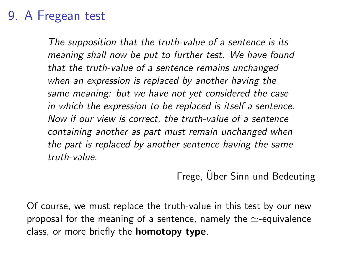## 9. A Fregean test

The supposition that the truth-value of a sentence is its meaning shall now be put to further test. We have found that the truth-value of a sentence remains unchanged when an expression is replaced by another having the same meaning: but we have not yet considered the case in which the expression to be replaced is itself a sentence. Now if our view is correct, the truth-value of a sentence containing another as part must remain unchanged when the part is replaced by another sentence having the same truth-value.

Frege, Uber Sinn und Bedeuting

Of course, we must replace the truth-value in this test by our new proposal for the meaning of a sentence, namely the  $\simeq$ -equivalence class, or more briefly the homotopy type.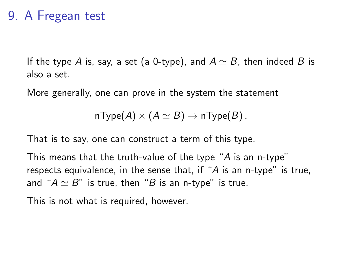## 9. A Fregean test

If the type A is, say, a set (a 0-type), and  $A \simeq B$ , then indeed B is also a set.

More generally, one can prove in the system the statement

 $nType(A) \times (A \simeq B) \rightarrow nType(B)$ .

That is to say, one can construct a term of this type.

This means that the truth-value of the type "A is an n-type" respects equivalence, in the sense that, if "A is an n-type" is true, and " $A \simeq B$ " is true, then "B is an n-type" is true.

This is not what is required, however.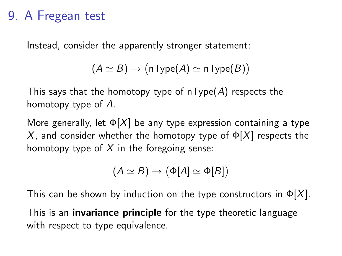### 9. A Fregean test

Instead, consider the apparently stronger statement:

$$
(A\simeq B)\to \big(\mathsf{nType}(A)\simeq \mathsf{nType}(B)\big)
$$

This says that the homotopy type of  $nType(A)$  respects the homotopy type of A.

More generally, let  $\Phi[X]$  be any type expression containing a type X, and consider whether the homotopy type of  $\Phi[X]$  respects the homotopy type of  $X$  in the foregoing sense:

$$
(A \simeq B) \rightarrow (\Phi[A] \simeq \Phi[B])
$$

This can be shown by induction on the type constructors in  $\Phi[X]$ . This is an **invariance principle** for the type theoretic language with respect to type equivalence.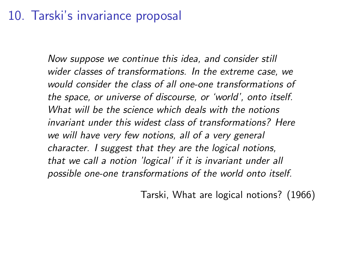#### 10. Tarski's invariance proposal

Now suppose we continue this idea, and consider still wider classes of transformations. In the extreme case, we would consider the class of all one-one transformations of the space, or universe of discourse, or 'world', onto itself. What will be the science which deals with the notions invariant under this widest class of transformations? Here we will have very few notions, all of a very general character. I suggest that they are the logical notions, that we call a notion 'logical' if it is invariant under all possible one-one transformations of the world onto itself.

Tarski, What are logical notions? (1966)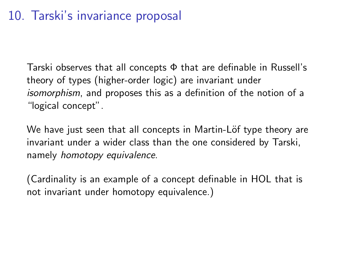## 10. Tarski's invariance proposal

Tarski observes that all concepts Φ that are definable in Russell's theory of types (higher-order logic) are invariant under isomorphism, and proposes this as a definition of the notion of a "logical concept".

We have just seen that all concepts in Martin-Löf type theory are invariant under a wider class than the one considered by Tarski, namely homotopy equivalence.

(Cardinality is an example of a concept definable in HOL that is not invariant under homotopy equivalence.)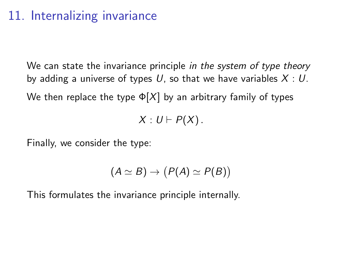## 11. Internalizing invariance

We can state the invariance principle in the system of type theory by adding a universe of types U, so that we have variables  $X: U$ . We then replace the type  $\Phi[X]$  by an arbitrary family of types

 $X : U \vdash P(X)$ .

Finally, we consider the type:

$$
(A \simeq B) \rightarrow (P(A) \simeq P(B))
$$

This formulates the invariance principle internally.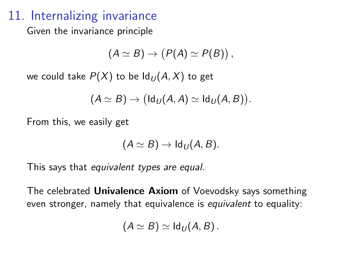#### 11. Internalizing invariance

Given the invariance principle

$$
(A \simeq B) \rightarrow (P(A) \simeq P(B)),
$$

we could take  $P(X)$  to be  $Id_{U}(A, X)$  to get

$$
(A \simeq B) \to (\mathrm{Id}_U(A, A) \simeq \mathrm{Id}_U(A, B)).
$$

From this, we easily get

$$
(A \simeq B) \to \mathrm{Id}_U(A, B).
$$

This says that equivalent types are equal.

The celebrated Univalence Axiom of Voevodsky says something even stronger, namely that equivalence is equivalent to equality:

$$
(A \simeq B) \simeq \mathrm{Id}_U(A, B).
$$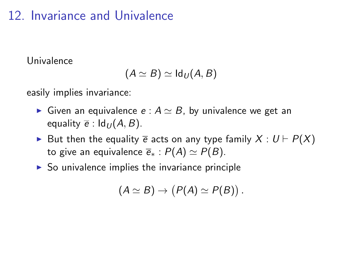#### 12. Invariance and Univalence

Univalence

$$
(A \simeq B) \simeq \mathsf{Id}_U(A, B)
$$

easily implies invariance:

- Given an equivalence  $e : A \simeq B$ , by univalence we get an equality  $\overline{e}$  :  $\mathsf{Id}_{U}(A, B)$ .
- But then the equality  $\overline{e}$  acts on any type family  $X : U \vdash P(X)$ to give an equivalence  $\overline{e}_*$  :  $P(A) \simeq P(B)$ .
- $\triangleright$  So univalence implies the invariance principle

$$
(A \simeq B) \rightarrow (P(A) \simeq P(B)).
$$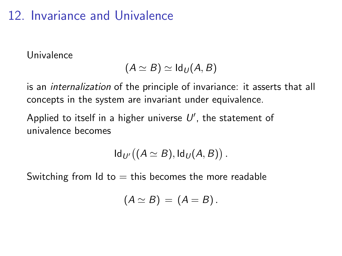#### 12. Invariance and Univalence

Univalence

$$
(A \simeq B) \simeq \mathsf{Id}_U(A, B)
$$

is an internalization of the principle of invariance: it asserts that all concepts in the system are invariant under equivalence.

Applied to itself in a higher universe  $U'$ , the statement of univalence becomes

$$
Id_{U'}((A \simeq B), Id_{U}(A, B)).
$$

Switching from Id to  $=$  this becomes the more readable

$$
(A \simeq B) = (A = B).
$$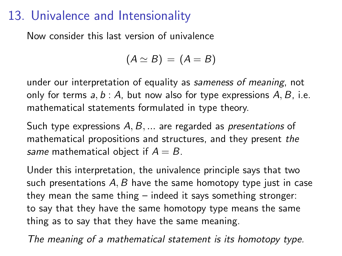## 13. Univalence and Intensionality

Now consider this last version of univalence

$$
(A \simeq B) = (A = B)
$$

under our interpretation of equality as sameness of meaning, not only for terms  $a, b : A$ , but now also for type expressions  $A, B$ , i.e. mathematical statements formulated in type theory.

Such type expressions A, B, ... are regarded as *presentations* of mathematical propositions and structures, and they present the same mathematical object if  $A = B$ .

Under this interpretation, the univalence principle says that two such presentations  $A, B$  have the same homotopy type just in case they mean the same thing – indeed it says something stronger: to say that they have the same homotopy type means the same thing as to say that they have the same meaning.

The meaning of a mathematical statement is its homotopy type.